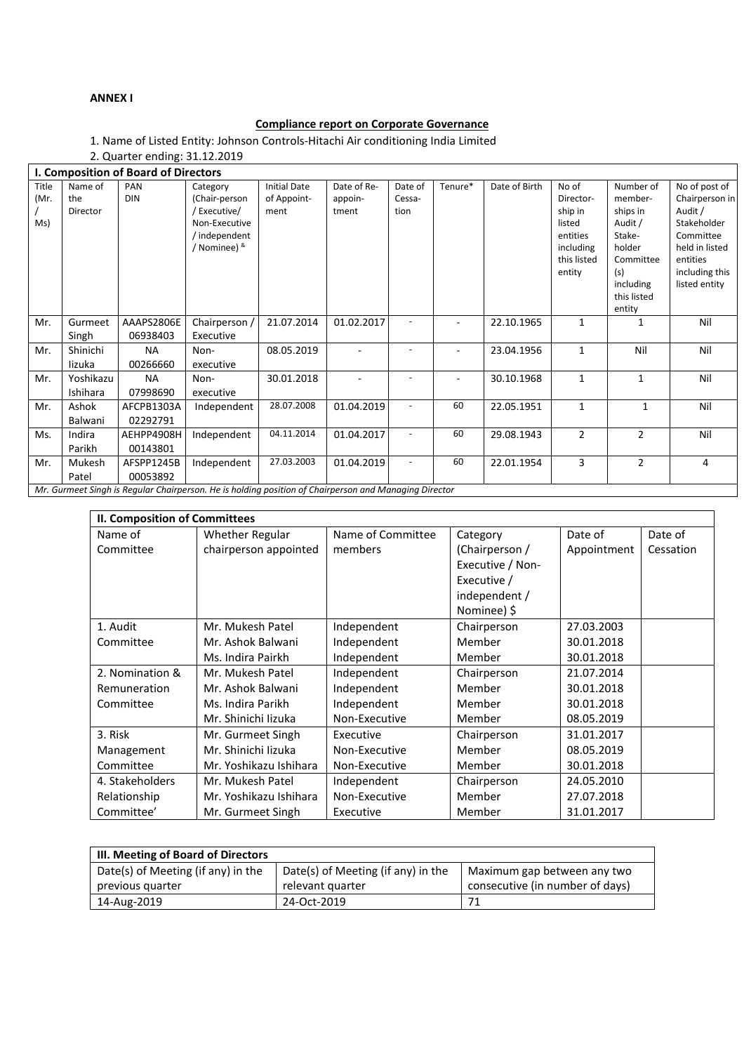## **ANNEX I**

## **Compliance report on Corporate Governance**

1. Name of Listed Entity: Johnson Controls-Hitachi Air conditioning India Limited

2. Quarter ending: 31.12.2019

| I. Composition of Board of Directors |                                                                                                       |                        |                                                                                           |                                            |                                 |                           |         |               |                                                                                           |                                                                                                                           |                                                                                                                                         |
|--------------------------------------|-------------------------------------------------------------------------------------------------------|------------------------|-------------------------------------------------------------------------------------------|--------------------------------------------|---------------------------------|---------------------------|---------|---------------|-------------------------------------------------------------------------------------------|---------------------------------------------------------------------------------------------------------------------------|-----------------------------------------------------------------------------------------------------------------------------------------|
| Title<br>(Mr.<br>Ms)                 | Name of<br>the<br>Director                                                                            | PAN<br><b>DIN</b>      | Category<br>(Chair-person<br>Executive/<br>Non-Executive<br>/ independent<br>/ Nominee) & | <b>Initial Date</b><br>of Appoint-<br>ment | Date of Re-<br>appoin-<br>tment | Date of<br>Cessa-<br>tion | Tenure* | Date of Birth | No of<br>Director-<br>ship in<br>listed<br>entities<br>including<br>this listed<br>entity | Number of<br>member-<br>ships in<br>Audit /<br>Stake-<br>holder<br>Committee<br>(s)<br>including<br>this listed<br>entity | No of post of<br>Chairperson in<br>Audit /<br>Stakeholder<br>Committee<br>held in listed<br>entities<br>including this<br>listed entity |
| Mr.                                  | Gurmeet<br>Singh                                                                                      | AAAPS2806E<br>06938403 | Chairperson /<br>Executive                                                                | 21.07.2014                                 | 01.02.2017                      |                           |         | 22.10.1965    | 1                                                                                         | 1                                                                                                                         | Nil                                                                                                                                     |
| Mr.                                  | Shinichi<br>lizuka                                                                                    | <b>NA</b><br>00266660  | Non-<br>executive                                                                         | 08.05.2019                                 |                                 |                           | ۰       | 23.04.1956    | 1                                                                                         | Nil                                                                                                                       | Nil                                                                                                                                     |
| Mr.                                  | Yoshikazu<br>Ishihara                                                                                 | <b>NA</b><br>07998690  | Non-<br>executive                                                                         | 30.01.2018                                 |                                 |                           |         | 30.10.1968    | $\mathbf{1}$                                                                              | $\mathbf{1}$                                                                                                              | Nil                                                                                                                                     |
| Mr.                                  | Ashok<br>Balwani                                                                                      | AFCPB1303A<br>02292791 | Independent                                                                               | 28.07.2008                                 | 01.04.2019                      |                           | 60      | 22.05.1951    | 1                                                                                         | 1                                                                                                                         | Nil                                                                                                                                     |
| Ms.                                  | Indira<br>Parikh                                                                                      | AEHPP4908H<br>00143801 | Independent                                                                               | 04.11.2014                                 | 01.04.2017                      |                           | 60      | 29.08.1943    | $\overline{2}$                                                                            | $\overline{2}$                                                                                                            | Nil                                                                                                                                     |
| Mr.                                  | Mukesh<br>Patel                                                                                       | AFSPP1245B<br>00053892 | Independent                                                                               | 27.03.2003                                 | 01.04.2019                      | $\overline{\phantom{a}}$  | 60      | 22.01.1954    | 3                                                                                         | $\overline{2}$                                                                                                            | $\overline{4}$                                                                                                                          |
|                                      | Mr. Curmoot Singh is Requier Chairperson, Ho is holding position of Chairperson and Managina Director |                        |                                                                                           |                                            |                                 |                           |         |               |                                                                                           |                                                                                                                           |                                                                                                                                         |

*Mr. Gurmeet Singh is Regular Chairperson. He is holding position of Chairperson and Managing Director*

| II. Composition of Committees |                        |                   |                  |             |           |  |  |
|-------------------------------|------------------------|-------------------|------------------|-------------|-----------|--|--|
| Name of                       | <b>Whether Regular</b> | Name of Committee | Category         | Date of     | Date of   |  |  |
| Committee                     | chairperson appointed  | members           | (Chairperson /   | Appointment | Cessation |  |  |
|                               |                        |                   | Executive / Non- |             |           |  |  |
|                               |                        |                   | Executive /      |             |           |  |  |
|                               |                        |                   | independent /    |             |           |  |  |
|                               |                        |                   | Nominee) \$      |             |           |  |  |
| 1. Audit                      | Mr. Mukesh Patel       | Independent       | Chairperson      | 27.03.2003  |           |  |  |
| Committee                     | Mr. Ashok Balwani      | Independent       | Member           | 30.01.2018  |           |  |  |
|                               | Ms. Indira Pairkh      | Independent       | Member           | 30.01.2018  |           |  |  |
| 2. Nomination &               | Mr. Mukesh Patel       | Independent       | Chairperson      | 21.07.2014  |           |  |  |
| Remuneration                  | Mr. Ashok Balwani      | Independent       | Member           | 30.01.2018  |           |  |  |
| Committee                     | Ms. Indira Parikh      | Independent       | Member           | 30.01.2018  |           |  |  |
|                               | Mr. Shinichi lizuka    | Non-Executive     | Member           | 08.05.2019  |           |  |  |
| 3. Risk                       | Mr. Gurmeet Singh      | Executive         | Chairperson      | 31.01.2017  |           |  |  |
| Management                    | Mr. Shinichi lizuka    | Non-Executive     | Member           | 08.05.2019  |           |  |  |
| Committee                     | Mr. Yoshikazu Ishihara | Non-Executive     | Member           | 30.01.2018  |           |  |  |
| 4. Stakeholders               | Mr. Mukesh Patel       | Independent       | Chairperson      | 24.05.2010  |           |  |  |
| Relationship                  | Mr. Yoshikazu Ishihara | Non-Executive     | Member           | 27.07.2018  |           |  |  |
| Committee'                    | Mr. Gurmeet Singh      | Executive         | Member           | 31.01.2017  |           |  |  |

| III. Meeting of Board of Directors |                                    |                                 |  |  |  |  |
|------------------------------------|------------------------------------|---------------------------------|--|--|--|--|
| Date(s) of Meeting (if any) in the | Date(s) of Meeting (if any) in the | Maximum gap between any two     |  |  |  |  |
| previous quarter                   | relevant quarter                   | consecutive (in number of days) |  |  |  |  |
| 14-Aug-2019                        | 24-Oct-2019                        |                                 |  |  |  |  |